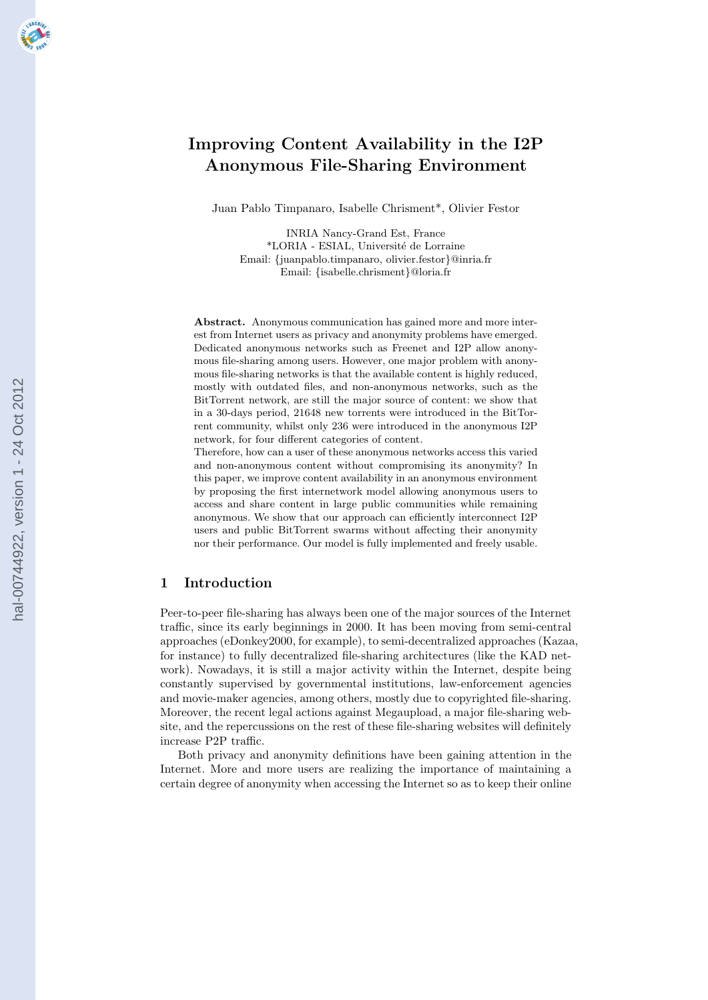# **Improving Content Availability in the I2P Anonymous File-Sharing Environment**

Juan Pablo Timpanaro, Isabelle Chrisment\*, Olivier Festor

INRIA Nancy-Grand Est, France \*LORIA - ESIAL, Université de Lorraine Email: *{*juanpablo.timpanaro, olivier.festor*}*@inria.fr Email: *{*isabelle.chrisment*}*@loria.fr

**Abstract.** Anonymous communication has gained more and more interest from Internet users as privacy and anonymity problems have emerged. Dedicated anonymous networks such as Freenet and I2P allow anonymous file-sharing among users. However, one major problem with anonymous file-sharing networks is that the available content is highly reduced, mostly with outdated files, and non-anonymous networks, such as the BitTorrent network, are still the major source of content: we show that in a 30-days period, 21648 new torrents were introduced in the BitTorrent community, whilst only 236 were introduced in the anonymous I2P network, for four different categories of content.

Therefore, how can a user of these anonymous networks access this varied and non-anonymous content without compromising its anonymity? In this paper, we improve content availability in an anonymous environment by proposing the first internetwork model allowing anonymous users to access and share content in large public communities while remaining anonymous. We show that our approach can efficiently interconnect I2P users and public BitTorrent swarms without affecting their anonymity nor their performance. Our model is fully implemented and freely usable.

# **1 Introduction**

Peer-to-peer file-sharing has always been one of the major sources of the Internet traffic, since its early beginnings in 2000. It has been moving from semi-central approaches (eDonkey2000, for example), to semi-decentralized approaches (Kazaa, for instance) to fully decentralized file-sharing architectures (like the KAD network). Nowadays, it is still a major activity within the Internet, despite being constantly supervised by governmental institutions, law-enforcement agencies and movie-maker agencies, among others, mostly due to copyrighted file-sharing. Moreover, the recent legal actions against Megaupload, a major file-sharing website, and the repercussions on the rest of these file-sharing websites will definitely increase P2P traffic.

Both privacy and anonymity definitions have been gaining attention in the Internet. More and more users are realizing the importance of maintaining a certain degree of anonymity when accessing the Internet so as to keep their online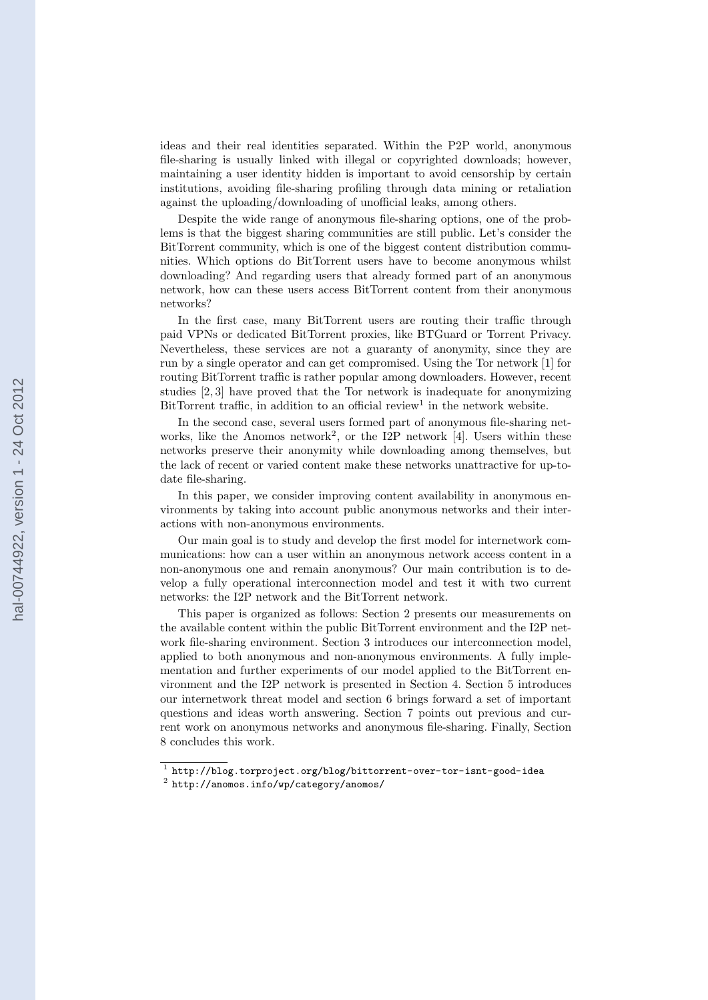ideas and their real identities separated. Within the P2P world, anonymous file-sharing is usually linked with illegal or copyrighted downloads; however, maintaining a user identity hidden is important to avoid censorship by certain institutions, avoiding file-sharing profiling through data mining or retaliation against the uploading/downloading of unofficial leaks, among others.

Despite the wide range of anonymous file-sharing options, one of the problems is that the biggest sharing communities are still public. Let's consider the BitTorrent community, which is one of the biggest content distribution communities. Which options do BitTorrent users have to become anonymous whilst downloading? And regarding users that already formed part of an anonymous network, how can these users access BitTorrent content from their anonymous networks?

In the first case, many BitTorrent users are routing their traffic through paid VPNs or dedicated BitTorrent proxies, like BTGuard or Torrent Privacy. Nevertheless, these services are not a guaranty of anonymity, since they are run by a single operator and can get compromised. Using the Tor network [1] for routing BitTorrent traffic is rather popular among downloaders. However, recent studies [2, 3] have proved that the Tor network is inadequate for anonymizing BitTorrent traffic, in addition to an official review<sup>1</sup> in the network website.

In the second case, several users formed part of anonymous file-sharing networks, like the Anomos network<sup>2</sup>, or the I2P network [4]. Users within these networks preserve their anonymity while downloading among themselves, but the lack of recent or varied content make these networks unattractive for up-todate file-sharing.

In this paper, we consider improving content availability in anonymous environments by taking into account public anonymous networks and their interactions with non-anonymous environments.

Our main goal is to study and develop the first model for internetwork communications: how can a user within an anonymous network access content in a non-anonymous one and remain anonymous? Our main contribution is to develop a fully operational interconnection model and test it with two current networks: the I2P network and the BitTorrent network.

This paper is organized as follows: Section 2 presents our measurements on the available content within the public BitTorrent environment and the I2P network file-sharing environment. Section 3 introduces our interconnection model, applied to both anonymous and non-anonymous environments. A fully implementation and further experiments of our model applied to the BitTorrent environment and the I2P network is presented in Section 4. Section 5 introduces our internetwork threat model and section 6 brings forward a set of important questions and ideas worth answering. Section 7 points out previous and current work on anonymous networks and anonymous file-sharing. Finally, Section 8 concludes this work.

<sup>1</sup> http://blog.torproject.org/blog/bittorrent-over-tor-isnt-good-idea

 $^2$  http://anomos.info/wp/category/anomos/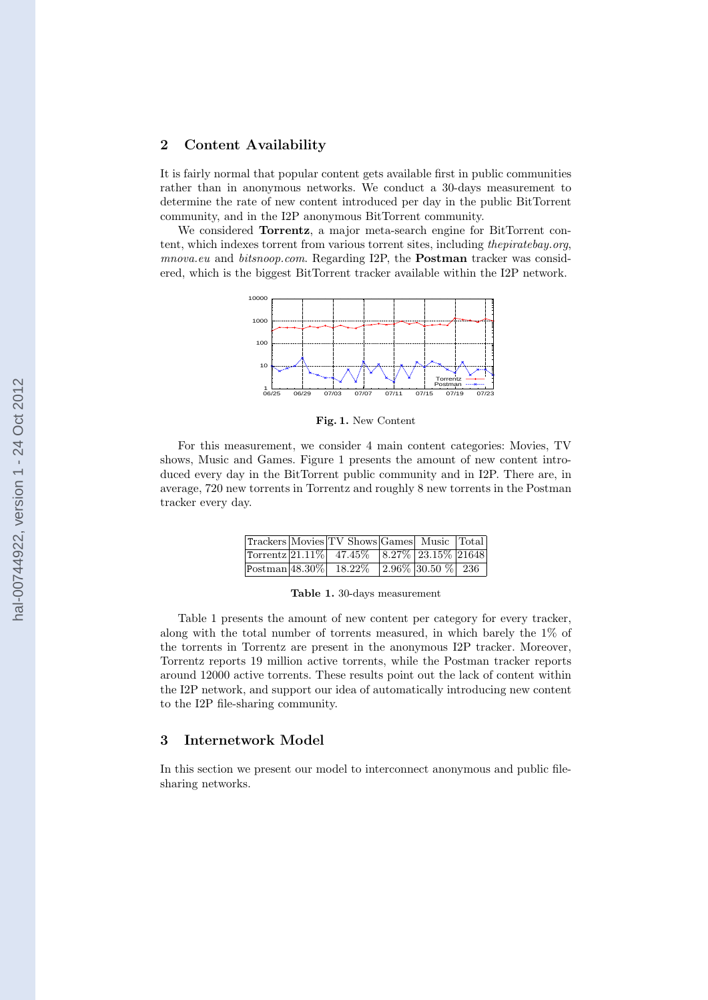# **2 Content Availability**

It is fairly normal that popular content gets available first in public communities rather than in anonymous networks. We conduct a 30-days measurement to determine the rate of new content introduced per day in the public BitTorrent community, and in the I2P anonymous BitTorrent community.

We considered **Torrentz**, a major meta-search engine for BitTorrent content, which indexes torrent from various torrent sites, including *thepiratebay.org*, *mnova.eu* and *bitsnoop.com*. Regarding I2P, the **Postman** tracker was considered, which is the biggest BitTorrent tracker available within the I2P network.



**Fig. 1.** New Content

For this measurement, we consider 4 main content categories: Movies, TV shows, Music and Games. Figure 1 presents the amount of new content introduced every day in the BitTorrent public community and in I2P. There are, in average, 720 new torrents in Torrentz and roughly 8 new torrents in the Postman tracker every day.

|  | Trackers Movies TV Shows Games Music Total                                              |  |  |
|--|-----------------------------------------------------------------------------------------|--|--|
|  | $\boxed{\text{Torrentz}[21.11\%] \quad 47.45\% \quad 8.27\% \quad 23.15\% \quad 21648}$ |  |  |
|  | $\sqrt{\text{Postman} \cdot 48.30\%}$ 18.22\% 2.96\% 30.50\% 236                        |  |  |

**Table 1.** 30-days measurement

Table 1 presents the amount of new content per category for every tracker, along with the total number of torrents measured, in which barely the 1% of the torrents in Torrentz are present in the anonymous I2P tracker. Moreover, Torrentz reports 19 million active torrents, while the Postman tracker reports around 12000 active torrents. These results point out the lack of content within the I2P network, and support our idea of automatically introducing new content to the I2P file-sharing community.

# **3 Internetwork Model**

In this section we present our model to interconnect anonymous and public filesharing networks.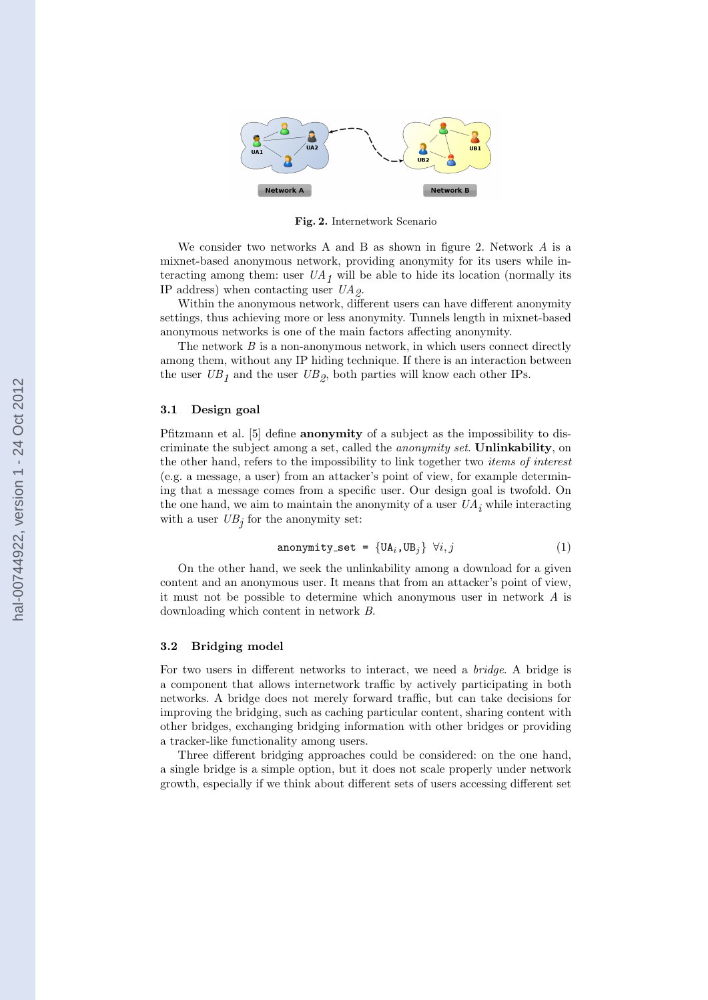

**Fig. 2.** Internetwork Scenario

We consider two networks A and B as shown in figure 2. Network *A* is a mixnet-based anonymous network, providing anonymity for its users while interacting among them: user  $UA<sub>1</sub>$  will be able to hide its location (normally its IP address) when contacting user  $UA_{2}$ .

Within the anonymous network, different users can have different anonymity settings, thus achieving more or less anonymity. Tunnels length in mixnet-based anonymous networks is one of the main factors affecting anonymity.

The network *B* is a non-anonymous network, in which users connect directly among them, without any IP hiding technique. If there is an interaction between the user  $UB_1$  and the user  $UB_2$ , both parties will know each other IPs.

# **3.1 Design goal**

Pfitzmann et al. [5] define **anonymity** of a subject as the impossibility to discriminate the subject among a set, called the *anonymity set*. **Unlinkability**, on the other hand, refers to the impossibility to link together two *items of interest* (e.g. a message, a user) from an attacker's point of view, for example determining that a message comes from a specific user. Our design goal is twofold. On the one hand, we aim to maintain the anonymity of a user  $UA_i$  while interacting with a user  $UB_j$  for the anonymity set:

$$
anonymity_set = \{UA_i, UB_j\} \ \forall i, j \tag{1}
$$

On the other hand, we seek the unlinkability among a download for a given content and an anonymous user. It means that from an attacker's point of view, it must not be possible to determine which anonymous user in network *A* is downloading which content in network *B*.

### **3.2 Bridging model**

For two users in different networks to interact, we need a *bridge*. A bridge is a component that allows internetwork traffic by actively participating in both networks. A bridge does not merely forward traffic, but can take decisions for improving the bridging, such as caching particular content, sharing content with other bridges, exchanging bridging information with other bridges or providing a tracker-like functionality among users.

Three different bridging approaches could be considered: on the one hand, a single bridge is a simple option, but it does not scale properly under network growth, especially if we think about different sets of users accessing different set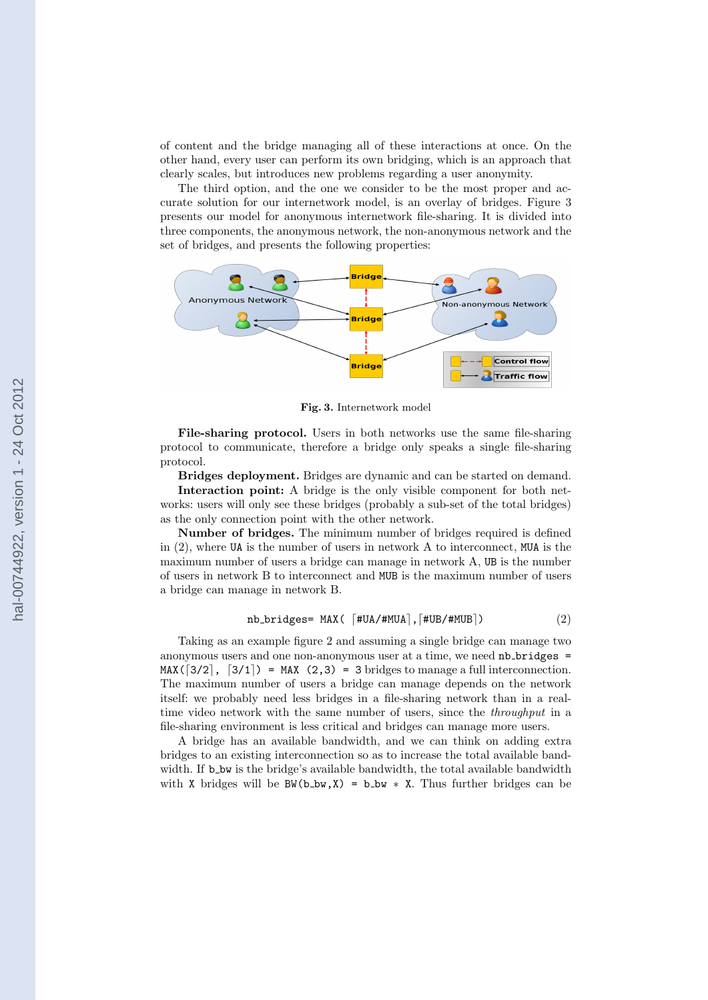of content and the bridge managing all of these interactions at once. On the other hand, every user can perform its own bridging, which is an approach that clearly scales, but introduces new problems regarding a user anonymity.

The third option, and the one we consider to be the most proper and accurate solution for our internetwork model, is an overlay of bridges. Figure 3 presents our model for anonymous internetwork file-sharing. It is divided into three components, the anonymous network, the non-anonymous network and the set of bridges, and presents the following properties:



**Fig. 3.** Internetwork model

**File-sharing protocol.** Users in both networks use the same file-sharing protocol to communicate, therefore a bridge only speaks a single file-sharing protocol.

**Bridges deployment.** Bridges are dynamic and can be started on demand.

**Interaction point:** A bridge is the only visible component for both networks: users will only see these bridges (probably a sub-set of the total bridges) as the only connection point with the other network.

**Number of bridges.** The minimum number of bridges required is defined in (2), where UA is the number of users in network A to interconnect, MUA is the maximum number of users a bridge can manage in network A, UB is the number of users in network B to interconnect and MUB is the maximum number of users a bridge can manage in network B.

$$
nb\text{-bridges} = \text{MAX}(\text{#UA}/\text{#MUA}, \text{#UB}/\text{#MUB})
$$
 (2)

Taking as an example figure 2 and assuming a single bridge can manage two anonymous users and one non-anonymous user at a time, we need  $nb\_bridges =$  $MAX([3/2], [3/1]) = MAX(2,3) = 3 \text{ bridges to manage a full interconnection.}$ The maximum number of users a bridge can manage depends on the network itself: we probably need less bridges in a file-sharing network than in a realtime video network with the same number of users, since the *throughput* in a file-sharing environment is less critical and bridges can manage more users.

A bridge has an available bandwidth, and we can think on adding extra bridges to an existing interconnection so as to increase the total available bandwidth. If b bw is the bridge's available bandwidth, the total available bandwidth with X bridges will be  $BW(b_b w, X) = b_b w * X$ . Thus further bridges can be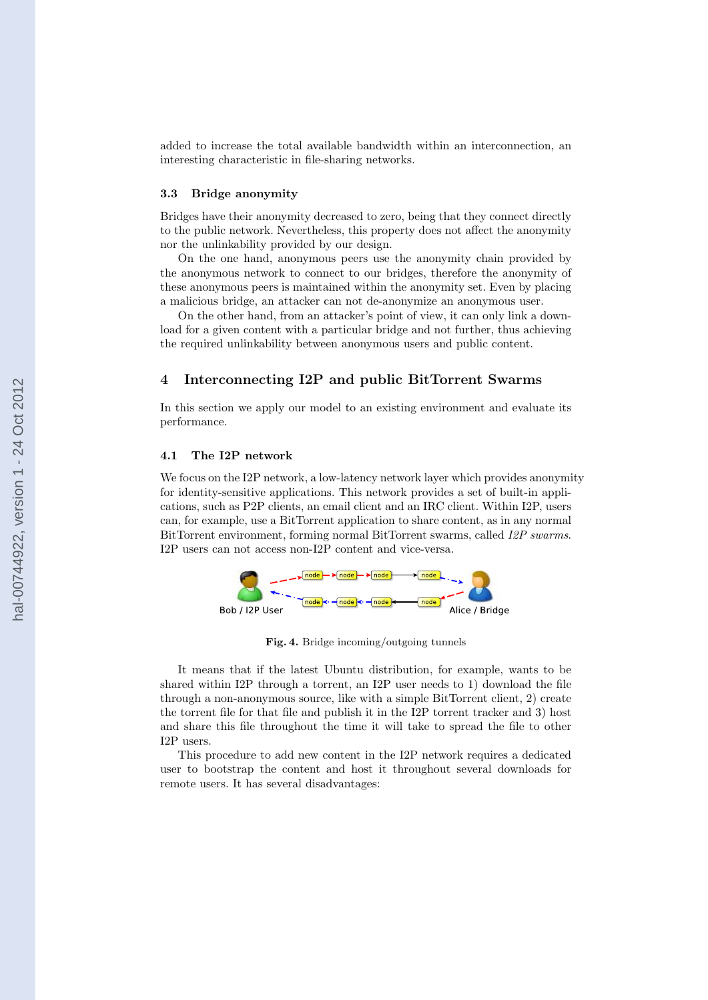added to increase the total available bandwidth within an interconnection, an interesting characteristic in file-sharing networks.

### **3.3 Bridge anonymity**

Bridges have their anonymity decreased to zero, being that they connect directly to the public network. Nevertheless, this property does not affect the anonymity nor the unlinkability provided by our design.

On the one hand, anonymous peers use the anonymity chain provided by the anonymous network to connect to our bridges, therefore the anonymity of these anonymous peers is maintained within the anonymity set. Even by placing a malicious bridge, an attacker can not de-anonymize an anonymous user.

On the other hand, from an attacker's point of view, it can only link a download for a given content with a particular bridge and not further, thus achieving the required unlinkability between anonymous users and public content.

# **4 Interconnecting I2P and public BitTorrent Swarms**

In this section we apply our model to an existing environment and evaluate its performance.

#### **4.1 The I2P network**

We focus on the I2P network, a low-latency network layer which provides anonymity for identity-sensitive applications. This network provides a set of built-in applications, such as P2P clients, an email client and an IRC client. Within I2P, users can, for example, use a BitTorrent application to share content, as in any normal BitTorrent environment, forming normal BitTorrent swarms, called *I2P swarms*. I2P users can not access non-I2P content and vice-versa.



**Fig. 4.** Bridge incoming/outgoing tunnels

It means that if the latest Ubuntu distribution, for example, wants to be shared within I2P through a torrent, an I2P user needs to 1) download the file through a non-anonymous source, like with a simple BitTorrent client, 2) create the torrent file for that file and publish it in the I2P torrent tracker and 3) host and share this file throughout the time it will take to spread the file to other I2P users.

This procedure to add new content in the I2P network requires a dedicated user to bootstrap the content and host it throughout several downloads for remote users. It has several disadvantages: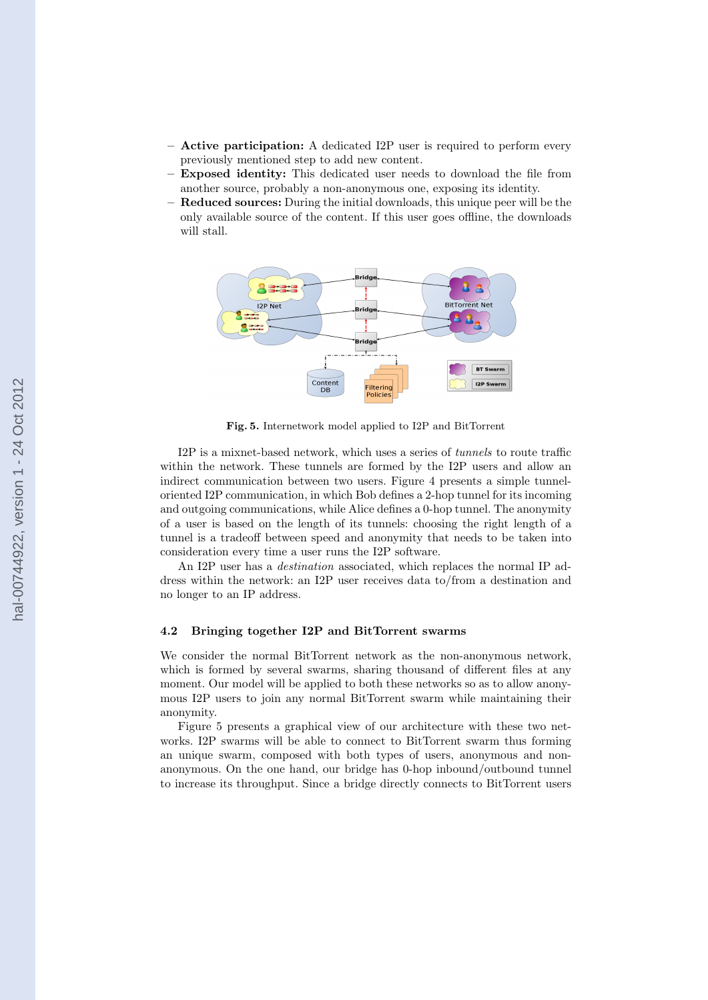- **Active participation:** A dedicated I2P user is required to perform every previously mentioned step to add new content.
- **Exposed identity:** This dedicated user needs to download the file from another source, probably a non-anonymous one, exposing its identity.
- **Reduced sources:** During the initial downloads, this unique peer will be the only available source of the content. If this user goes offline, the downloads will stall.



**Fig. 5.** Internetwork model applied to I2P and BitTorrent

I2P is a mixnet-based network, which uses a series of *tunnels* to route traffic within the network. These tunnels are formed by the I2P users and allow an indirect communication between two users. Figure 4 presents a simple tunneloriented I2P communication, in which Bob defines a 2-hop tunnel for its incoming and outgoing communications, while Alice defines a 0-hop tunnel. The anonymity of a user is based on the length of its tunnels: choosing the right length of a tunnel is a tradeoff between speed and anonymity that needs to be taken into consideration every time a user runs the I2P software.

An I2P user has a *destination* associated, which replaces the normal IP address within the network: an I2P user receives data to/from a destination and no longer to an IP address.

## **4.2 Bringing together I2P and BitTorrent swarms**

We consider the normal BitTorrent network as the non-anonymous network, which is formed by several swarms, sharing thousand of different files at any moment. Our model will be applied to both these networks so as to allow anonymous I2P users to join any normal BitTorrent swarm while maintaining their anonymity.

Figure 5 presents a graphical view of our architecture with these two networks. I2P swarms will be able to connect to BitTorrent swarm thus forming an unique swarm, composed with both types of users, anonymous and nonanonymous. On the one hand, our bridge has 0-hop inbound/outbound tunnel to increase its throughput. Since a bridge directly connects to BitTorrent users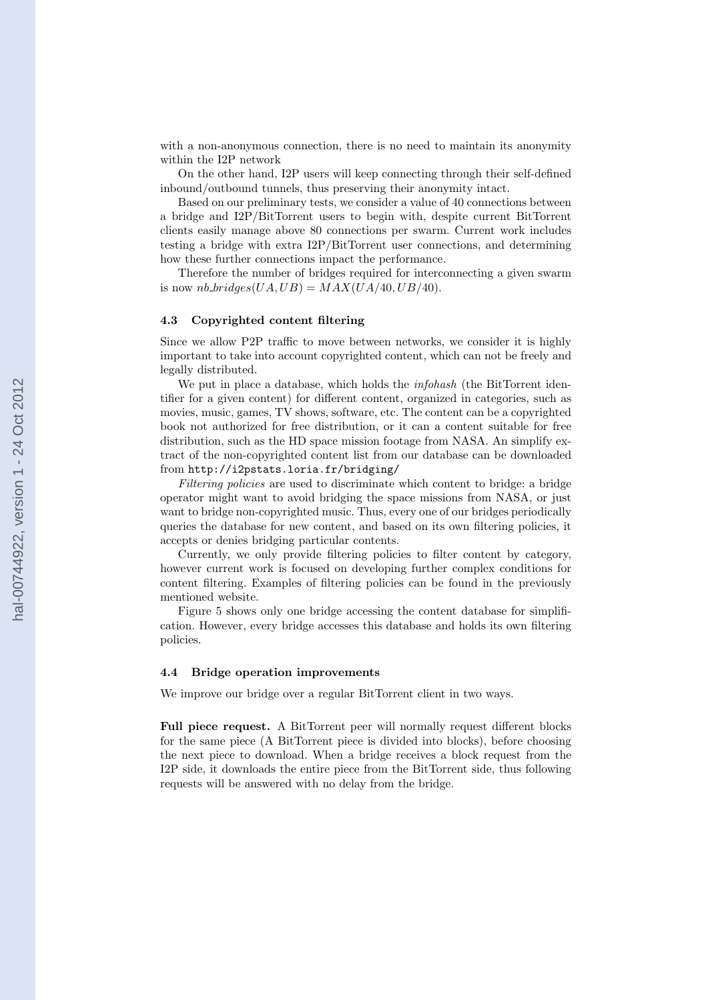with a non-anonymous connection, there is no need to maintain its anonymity within the I2P network

On the other hand, I2P users will keep connecting through their self-defined inbound/outbound tunnels, thus preserving their anonymity intact.

Based on our preliminary tests, we consider a value of 40 connections between a bridge and I2P/BitTorrent users to begin with, despite current BitTorrent clients easily manage above 80 connections per swarm. Current work includes testing a bridge with extra I2P/BitTorrent user connections, and determining how these further connections impact the performance.

Therefore the number of bridges required for interconnecting a given swarm is now  $nb\_bridges(UA, UB) = MAX(UA/40, UB/40)$ .

#### **4.3 Copyrighted content filtering**

Since we allow P2P traffic to move between networks, we consider it is highly important to take into account copyrighted content, which can not be freely and legally distributed.

We put in place a database, which holds the *infohash* (the BitTorrent identifier for a given content) for different content, organized in categories, such as movies, music, games, TV shows, software, etc. The content can be a copyrighted book not authorized for free distribution, or it can a content suitable for free distribution, such as the HD space mission footage from NASA. An simplify extract of the non-copyrighted content list from our database can be downloaded from http://i2pstats.loria.fr/bridging/

*Filtering policies* are used to discriminate which content to bridge: a bridge operator might want to avoid bridging the space missions from NASA, or just want to bridge non-copyrighted music. Thus, every one of our bridges periodically queries the database for new content, and based on its own filtering policies, it accepts or denies bridging particular contents.

Currently, we only provide filtering policies to filter content by category, however current work is focused on developing further complex conditions for content filtering. Examples of filtering policies can be found in the previously mentioned website.

Figure 5 shows only one bridge accessing the content database for simplification. However, every bridge accesses this database and holds its own filtering policies.

#### **4.4 Bridge operation improvements**

We improve our bridge over a regular BitTorrent client in two ways.

**Full piece request.** A BitTorrent peer will normally request different blocks for the same piece (A BitTorrent piece is divided into blocks), before choosing the next piece to download. When a bridge receives a block request from the I2P side, it downloads the entire piece from the BitTorrent side, thus following requests will be answered with no delay from the bridge.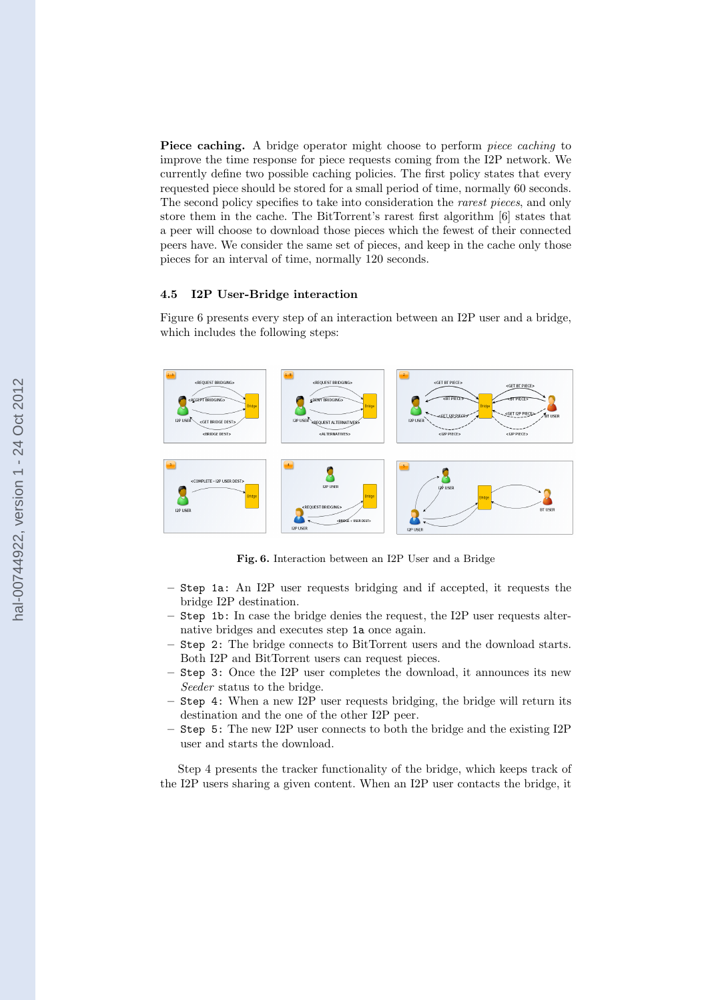**Piece caching.** A bridge operator might choose to perform *piece caching* to improve the time response for piece requests coming from the I2P network. We currently define two possible caching policies. The first policy states that every requested piece should be stored for a small period of time, normally 60 seconds. The second policy specifies to take into consideration the *rarest pieces*, and only store them in the cache. The BitTorrent's rarest first algorithm [6] states that a peer will choose to download those pieces which the fewest of their connected peers have. We consider the same set of pieces, and keep in the cache only those pieces for an interval of time, normally 120 seconds.

## **4.5 I2P User-Bridge interaction**

Figure 6 presents every step of an interaction between an I2P user and a bridge, which includes the following steps:



**Fig. 6.** Interaction between an I2P User and a Bridge

- **–** Step 1a: An I2P user requests bridging and if accepted, it requests the bridge I2P destination.
- **–** Step 1b: In case the bridge denies the request, the I2P user requests alternative bridges and executes step 1a once again.
- **–** Step 2: The bridge connects to BitTorrent users and the download starts. Both I2P and BitTorrent users can request pieces.
- **–** Step 3: Once the I2P user completes the download, it announces its new *Seeder* status to the bridge.
- **–** Step 4: When a new I2P user requests bridging, the bridge will return its destination and the one of the other I2P peer.
- **–** Step 5: The new I2P user connects to both the bridge and the existing I2P user and starts the download.

Step 4 presents the tracker functionality of the bridge, which keeps track of the I2P users sharing a given content. When an I2P user contacts the bridge, it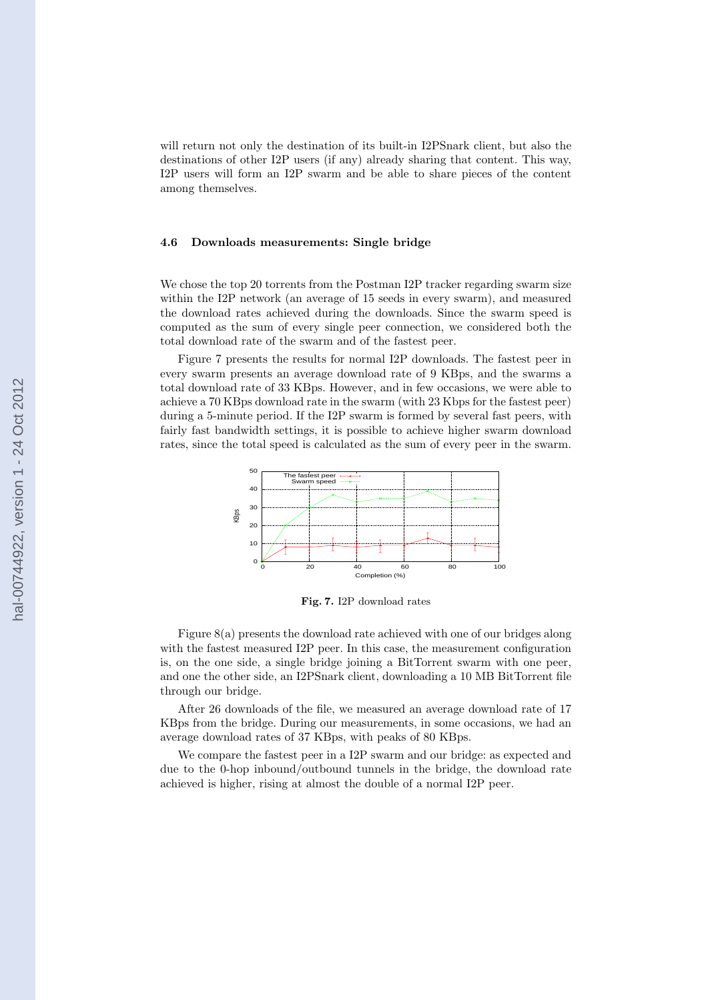will return not only the destination of its built-in I2PSnark client, but also the destinations of other I2P users (if any) already sharing that content. This way, I2P users will form an I2P swarm and be able to share pieces of the content among themselves.

### **4.6 Downloads measurements: Single bridge**

We chose the top 20 torrents from the Postman I2P tracker regarding swarm size within the I2P network (an average of 15 seeds in every swarm), and measured the download rates achieved during the downloads. Since the swarm speed is computed as the sum of every single peer connection, we considered both the total download rate of the swarm and of the fastest peer.

Figure 7 presents the results for normal I2P downloads. The fastest peer in every swarm presents an average download rate of 9 KBps, and the swarms a total download rate of 33 KBps. However, and in few occasions, we were able to achieve a 70 KBps download rate in the swarm (with 23 Kbps for the fastest peer) during a 5-minute period. If the I2P swarm is formed by several fast peers, with fairly fast bandwidth settings, it is possible to achieve higher swarm download rates, since the total speed is calculated as the sum of every peer in the swarm.



**Fig. 7.** I2P download rates

Figure  $8(a)$  presents the download rate achieved with one of our bridges along with the fastest measured I2P peer. In this case, the measurement configuration is, on the one side, a single bridge joining a BitTorrent swarm with one peer, and one the other side, an I2PSnark client, downloading a 10 MB BitTorrent file through our bridge.

After 26 downloads of the file, we measured an average download rate of 17 KBps from the bridge. During our measurements, in some occasions, we had an average download rates of 37 KBps, with peaks of 80 KBps.

We compare the fastest peer in a I2P swarm and our bridge: as expected and due to the 0-hop inbound/outbound tunnels in the bridge, the download rate achieved is higher, rising at almost the double of a normal I2P peer.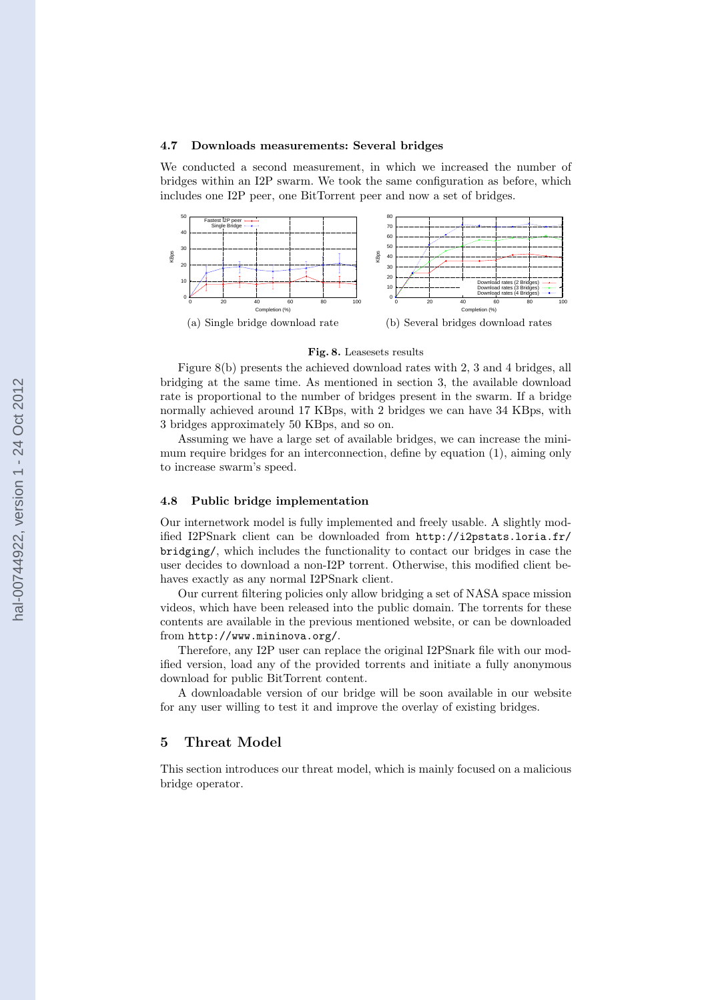#### **4.7 Downloads measurements: Several bridges**

We conducted a second measurement, in which we increased the number of bridges within an I2P swarm. We took the same configuration as before, which includes one I2P peer, one BitTorrent peer and now a set of bridges.



#### **Fig. 8.** Leasesets results

Figure 8(b) presents the achieved download rates with 2, 3 and 4 bridges, all bridging at the same time. As mentioned in section 3, the available download rate is proportional to the number of bridges present in the swarm. If a bridge normally achieved around 17 KBps, with 2 bridges we can have 34 KBps, with 3 bridges approximately 50 KBps, and so on.

Assuming we have a large set of available bridges, we can increase the minimum require bridges for an interconnection, define by equation (1), aiming only to increase swarm's speed.

### **4.8 Public bridge implementation**

Our internetwork model is fully implemented and freely usable. A slightly modified I2PSnark client can be downloaded from http://i2pstats.loria.fr/ bridging/, which includes the functionality to contact our bridges in case the user decides to download a non-I2P torrent. Otherwise, this modified client behaves exactly as any normal I2PSnark client.

Our current filtering policies only allow bridging a set of NASA space mission videos, which have been released into the public domain. The torrents for these contents are available in the previous mentioned website, or can be downloaded from http://www.mininova.org/.

Therefore, any I2P user can replace the original I2PSnark file with our modified version, load any of the provided torrents and initiate a fully anonymous download for public BitTorrent content.

A downloadable version of our bridge will be soon available in our website for any user willing to test it and improve the overlay of existing bridges.

# **5 Threat Model**

This section introduces our threat model, which is mainly focused on a malicious bridge operator.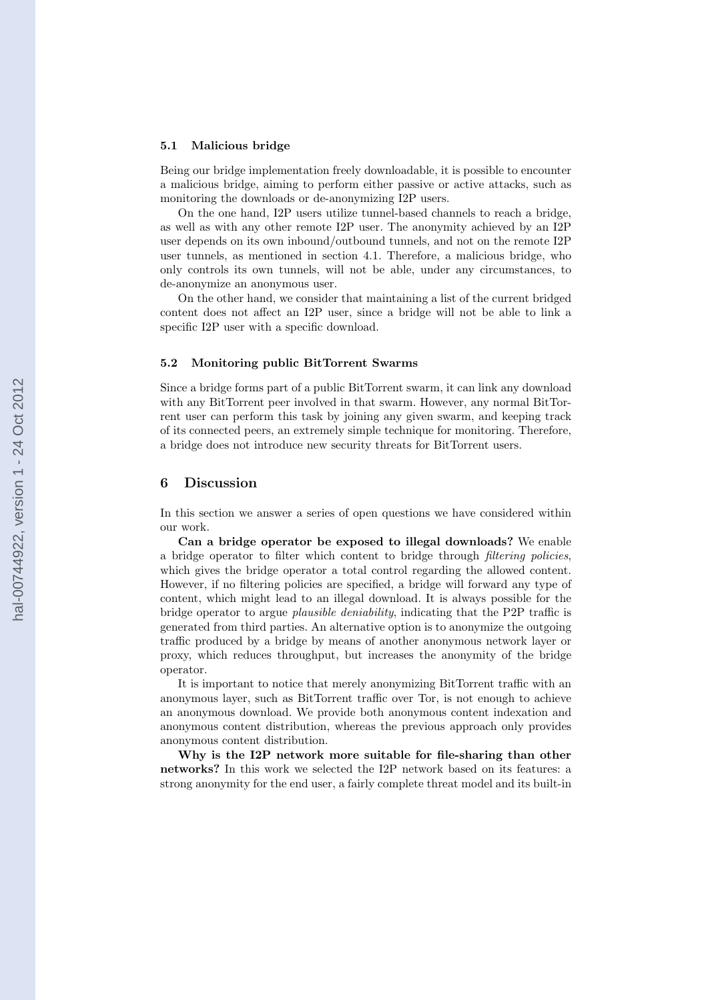#### **5.1 Malicious bridge**

Being our bridge implementation freely downloadable, it is possible to encounter a malicious bridge, aiming to perform either passive or active attacks, such as monitoring the downloads or de-anonymizing I2P users.

On the one hand, I2P users utilize tunnel-based channels to reach a bridge, as well as with any other remote I2P user. The anonymity achieved by an I2P user depends on its own inbound/outbound tunnels, and not on the remote I2P user tunnels, as mentioned in section 4.1. Therefore, a malicious bridge, who only controls its own tunnels, will not be able, under any circumstances, to de-anonymize an anonymous user.

On the other hand, we consider that maintaining a list of the current bridged content does not affect an I2P user, since a bridge will not be able to link a specific I2P user with a specific download.

#### **5.2 Monitoring public BitTorrent Swarms**

Since a bridge forms part of a public BitTorrent swarm, it can link any download with any BitTorrent peer involved in that swarm. However, any normal BitTorrent user can perform this task by joining any given swarm, and keeping track of its connected peers, an extremely simple technique for monitoring. Therefore, a bridge does not introduce new security threats for BitTorrent users.

# **6 Discussion**

In this section we answer a series of open questions we have considered within our work.

**Can a bridge operator be exposed to illegal downloads?** We enable a bridge operator to filter which content to bridge through *filtering policies*, which gives the bridge operator a total control regarding the allowed content. However, if no filtering policies are specified, a bridge will forward any type of content, which might lead to an illegal download. It is always possible for the bridge operator to argue *plausible deniability*, indicating that the P2P traffic is generated from third parties. An alternative option is to anonymize the outgoing traffic produced by a bridge by means of another anonymous network layer or proxy, which reduces throughput, but increases the anonymity of the bridge operator.

It is important to notice that merely anonymizing BitTorrent traffic with an anonymous layer, such as BitTorrent traffic over Tor, is not enough to achieve an anonymous download. We provide both anonymous content indexation and anonymous content distribution, whereas the previous approach only provides anonymous content distribution.

**Why is the I2P network more suitable for file-sharing than other networks?** In this work we selected the I2P network based on its features: a strong anonymity for the end user, a fairly complete threat model and its built-in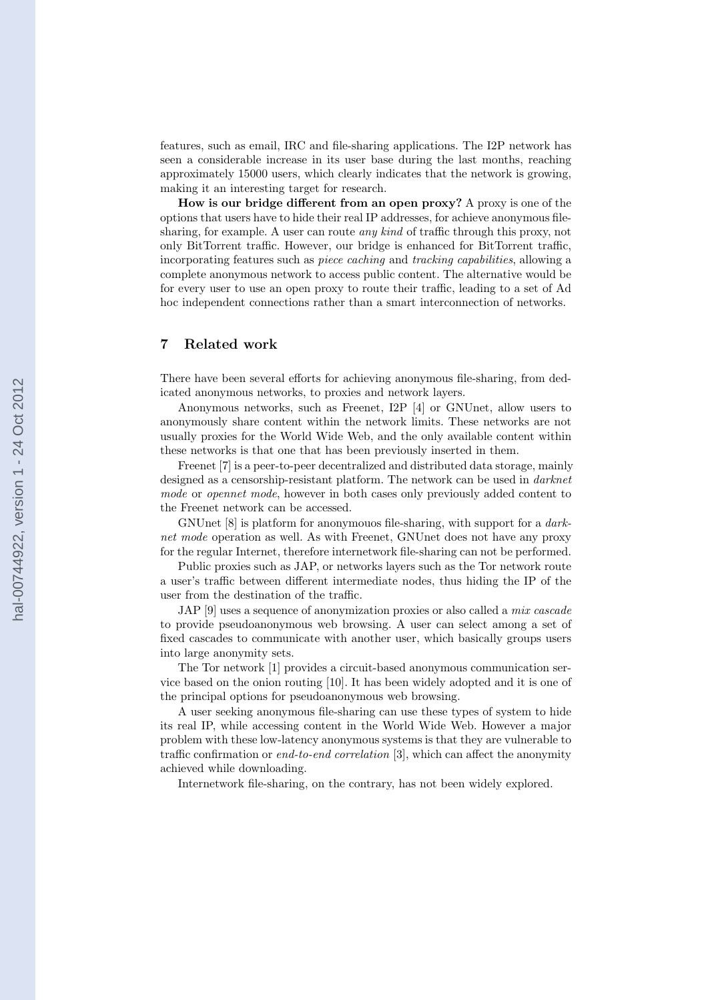features, such as email, IRC and file-sharing applications. The I2P network has seen a considerable increase in its user base during the last months, reaching approximately 15000 users, which clearly indicates that the network is growing, making it an interesting target for research.

**How is our bridge different from an open proxy?** A proxy is one of the options that users have to hide their real IP addresses, for achieve anonymous filesharing, for example. A user can route *any kind* of traffic through this proxy, not only BitTorrent traffic. However, our bridge is enhanced for BitTorrent traffic, incorporating features such as *piece caching* and *tracking capabilities*, allowing a complete anonymous network to access public content. The alternative would be for every user to use an open proxy to route their traffic, leading to a set of Ad hoc independent connections rather than a smart interconnection of networks.

# **7 Related work**

There have been several efforts for achieving anonymous file-sharing, from dedicated anonymous networks, to proxies and network layers.

Anonymous networks, such as Freenet, I2P [4] or GNUnet, allow users to anonymously share content within the network limits. These networks are not usually proxies for the World Wide Web, and the only available content within these networks is that one that has been previously inserted in them.

Freenet [7] is a peer-to-peer decentralized and distributed data storage, mainly designed as a censorship-resistant platform. The network can be used in *darknet mode* or *opennet mode*, however in both cases only previously added content to the Freenet network can be accessed.

GNUnet [8] is platform for anonymouos file-sharing, with support for a *darknet mode* operation as well. As with Freenet, GNUnet does not have any proxy for the regular Internet, therefore internetwork file-sharing can not be performed.

Public proxies such as JAP, or networks layers such as the Tor network route a user's traffic between different intermediate nodes, thus hiding the IP of the user from the destination of the traffic.

JAP [9] uses a sequence of anonymization proxies or also called a *mix cascade* to provide pseudoanonymous web browsing. A user can select among a set of fixed cascades to communicate with another user, which basically groups users into large anonymity sets.

The Tor network [1] provides a circuit-based anonymous communication service based on the onion routing [10]. It has been widely adopted and it is one of the principal options for pseudoanonymous web browsing.

A user seeking anonymous file-sharing can use these types of system to hide its real IP, while accessing content in the World Wide Web. However a major problem with these low-latency anonymous systems is that they are vulnerable to traffic confirmation or *end-to-end correlation* [3], which can affect the anonymity achieved while downloading.

Internetwork file-sharing, on the contrary, has not been widely explored.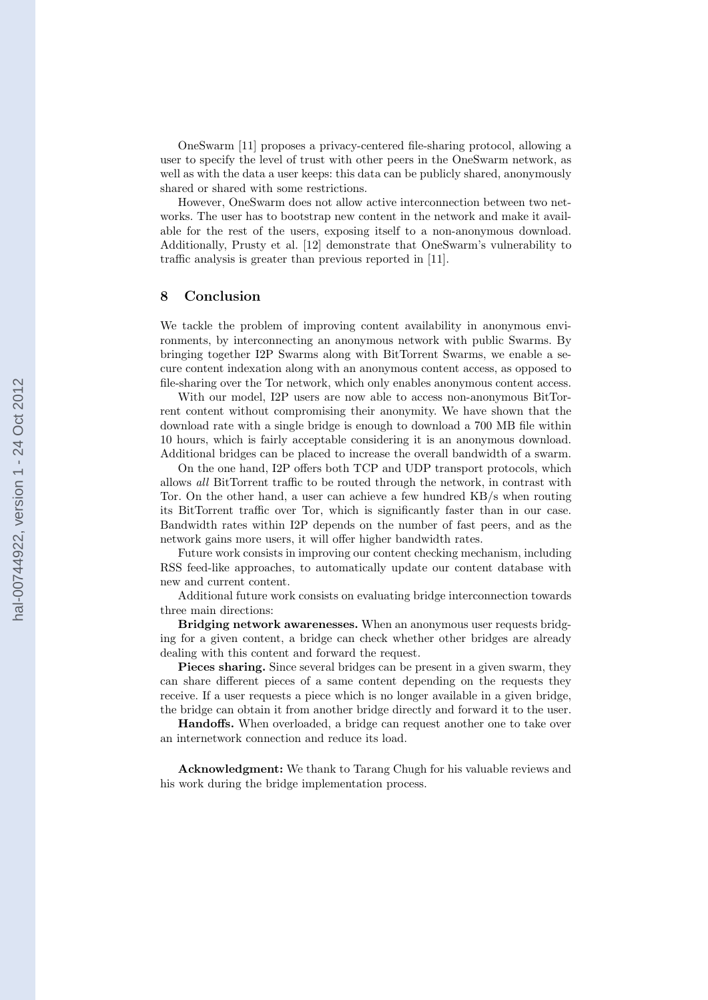OneSwarm [11] proposes a privacy-centered file-sharing protocol, allowing a user to specify the level of trust with other peers in the OneSwarm network, as well as with the data a user keeps: this data can be publicly shared, anonymously shared or shared with some restrictions.

However, OneSwarm does not allow active interconnection between two networks. The user has to bootstrap new content in the network and make it available for the rest of the users, exposing itself to a non-anonymous download. Additionally, Prusty et al. [12] demonstrate that OneSwarm's vulnerability to traffic analysis is greater than previous reported in [11].

### **8 Conclusion**

We tackle the problem of improving content availability in anonymous environments, by interconnecting an anonymous network with public Swarms. By bringing together I2P Swarms along with BitTorrent Swarms, we enable a secure content indexation along with an anonymous content access, as opposed to file-sharing over the Tor network, which only enables anonymous content access.

With our model, I2P users are now able to access non-anonymous BitTorrent content without compromising their anonymity. We have shown that the download rate with a single bridge is enough to download a 700 MB file within 10 hours, which is fairly acceptable considering it is an anonymous download. Additional bridges can be placed to increase the overall bandwidth of a swarm.

On the one hand, I2P offers both TCP and UDP transport protocols, which allows *all* BitTorrent traffic to be routed through the network, in contrast with Tor. On the other hand, a user can achieve a few hundred KB/s when routing its BitTorrent traffic over Tor, which is significantly faster than in our case. Bandwidth rates within I2P depends on the number of fast peers, and as the network gains more users, it will offer higher bandwidth rates.

Future work consists in improving our content checking mechanism, including RSS feed-like approaches, to automatically update our content database with new and current content.

Additional future work consists on evaluating bridge interconnection towards three main directions:

**Bridging network awarenesses.** When an anonymous user requests bridging for a given content, a bridge can check whether other bridges are already dealing with this content and forward the request.

Pieces sharing. Since several bridges can be present in a given swarm, they can share different pieces of a same content depending on the requests they receive. If a user requests a piece which is no longer available in a given bridge, the bridge can obtain it from another bridge directly and forward it to the user.

**Handoffs.** When overloaded, a bridge can request another one to take over an internetwork connection and reduce its load.

**Acknowledgment:** We thank to Tarang Chugh for his valuable reviews and his work during the bridge implementation process.